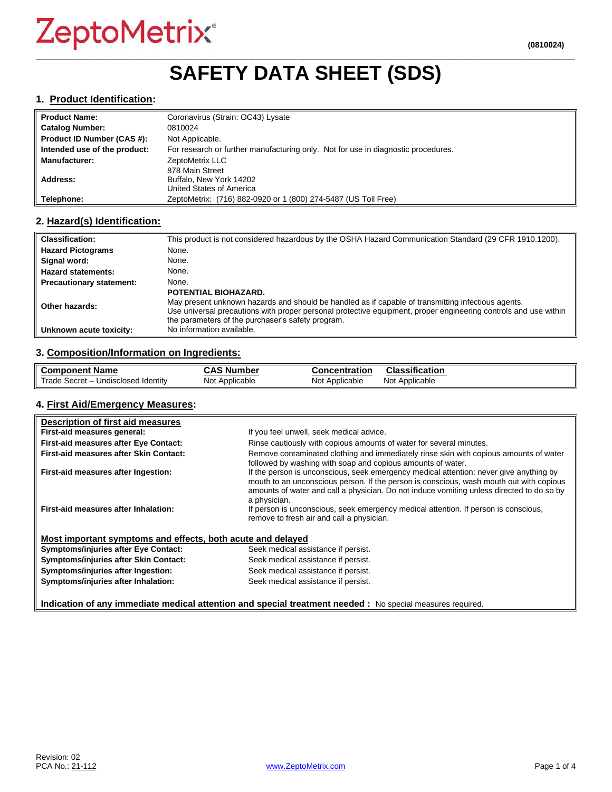## **\_\_\_\_\_\_\_\_\_\_\_\_\_\_\_\_\_\_\_\_\_\_\_\_\_\_\_\_\_\_\_\_\_\_\_\_\_\_\_\_\_\_\_\_\_\_\_\_\_\_\_\_\_\_\_\_\_\_\_\_\_\_\_\_\_\_\_\_\_\_\_\_\_\_\_\_\_\_\_\_\_\_\_\_\_\_\_\_\_\_\_\_\_\_\_\_\_ SAFETY DATA SHEET (SDS)**

#### **1. Product Identification:**

| <b>Product Name:</b>         | Coronavirus (Strain: OC43) Lysate                                                 |
|------------------------------|-----------------------------------------------------------------------------------|
| <b>Catalog Number:</b>       | 0810024                                                                           |
| Product ID Number (CAS #):   | Not Applicable.                                                                   |
| Intended use of the product: | For research or further manufacturing only. Not for use in diagnostic procedures. |
| <b>Manufacturer:</b>         | ZeptoMetrix LLC                                                                   |
|                              | 878 Main Street                                                                   |
| Address:                     | Buffalo, New York 14202                                                           |
|                              | United States of America                                                          |
| Telephone:                   | ZeptoMetrix: (716) 882-0920 or 1 (800) 274-5487 (US Toll Free)                    |

## **2. Hazard(s) Identification:**

| <b>Classification:</b>          | This product is not considered hazardous by the OSHA Hazard Communication Standard (29 CFR 1910.1200).                                                                                                                                                                                             |
|---------------------------------|----------------------------------------------------------------------------------------------------------------------------------------------------------------------------------------------------------------------------------------------------------------------------------------------------|
| <b>Hazard Pictograms</b>        | None.                                                                                                                                                                                                                                                                                              |
| Signal word:                    | None.                                                                                                                                                                                                                                                                                              |
| <b>Hazard statements:</b>       | None.                                                                                                                                                                                                                                                                                              |
| <b>Precautionary statement:</b> | None.                                                                                                                                                                                                                                                                                              |
| Other hazards:                  | POTENTIAL BIOHAZARD.<br>May present unknown hazards and should be handled as if capable of transmitting infectious agents.<br>Use universal precautions with proper personal protective equipment, proper engineering controls and use within<br>the parameters of the purchaser's safety program. |
| Unknown acute toxicity:         | No information available.                                                                                                                                                                                                                                                                          |

## **3. Composition/Information on Ingredients:**

| <b>Component Name</b>                    | . .<br>, Number<br>אי<br>umo | <b>Concentration</b> | Classification    |
|------------------------------------------|------------------------------|----------------------|-------------------|
| Trade,<br>Undisclosed Identity<br>Secret | Not Applicable               | Not<br>Applicable    | Not<br>Applicable |

#### **4. First Aid/Emergency Measures:**

| Description of first aid measures                           |                                                                                                                                                                                                                                                                                                |
|-------------------------------------------------------------|------------------------------------------------------------------------------------------------------------------------------------------------------------------------------------------------------------------------------------------------------------------------------------------------|
| First-aid measures general:                                 | If you feel unwell, seek medical advice.                                                                                                                                                                                                                                                       |
| First-aid measures after Eye Contact:                       | Rinse cautiously with copious amounts of water for several minutes.                                                                                                                                                                                                                            |
| First-aid measures after Skin Contact:                      | Remove contaminated clothing and immediately rinse skin with copious amounts of water<br>followed by washing with soap and copious amounts of water.                                                                                                                                           |
| First-aid measures after Ingestion:                         | If the person is unconscious, seek emergency medical attention: never give anything by<br>mouth to an unconscious person. If the person is conscious, wash mouth out with copious<br>amounts of water and call a physician. Do not induce vomiting unless directed to do so by<br>a physician. |
| First-aid measures after Inhalation:                        | If person is unconscious, seek emergency medical attention. If person is conscious,<br>remove to fresh air and call a physician.                                                                                                                                                               |
| Most important symptoms and effects, both acute and delayed |                                                                                                                                                                                                                                                                                                |
| <b>Symptoms/injuries after Eye Contact:</b>                 | Seek medical assistance if persist.                                                                                                                                                                                                                                                            |
| Symptoms/injuries after Skin Contact:                       | Seek medical assistance if persist.                                                                                                                                                                                                                                                            |
| Symptoms/injuries after Ingestion:                          | Seek medical assistance if persist.                                                                                                                                                                                                                                                            |
| Symptoms/injuries after Inhalation:                         | Seek medical assistance if persist.                                                                                                                                                                                                                                                            |
|                                                             | Indication of any immediate medical attention and special treatment needed : No special measures required.                                                                                                                                                                                     |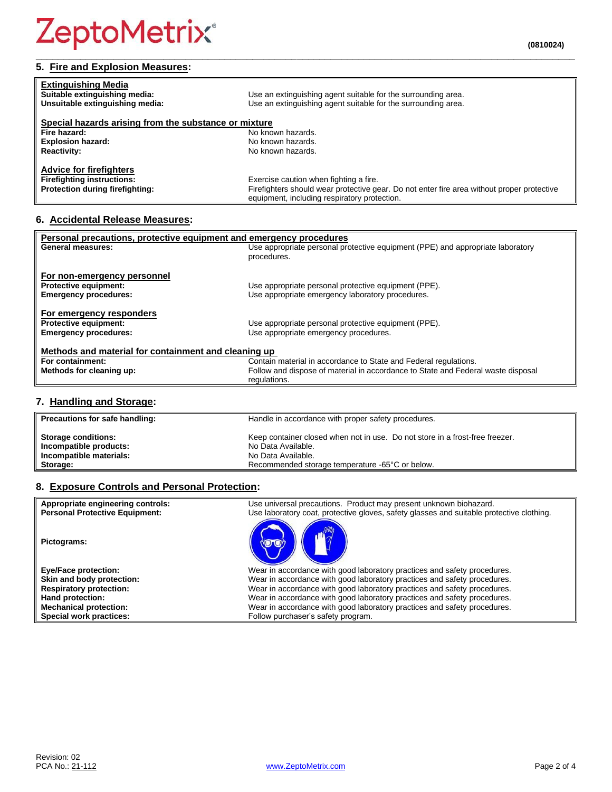## **5. Fire and Explosion Measures:**

| <b>Extinguishing Media</b><br>Suitable extinguishing media:<br>Unsuitable extinguishing media: | Use an extinguishing agent suitable for the surrounding area.<br>Use an extinguishing agent suitable for the surrounding area.             |
|------------------------------------------------------------------------------------------------|--------------------------------------------------------------------------------------------------------------------------------------------|
| Special hazards arising from the substance or mixture                                          |                                                                                                                                            |
| Fire hazard:                                                                                   | No known hazards.                                                                                                                          |
| <b>Explosion hazard:</b>                                                                       | No known hazards.                                                                                                                          |
| <b>Reactivity:</b>                                                                             | No known hazards.                                                                                                                          |
| <b>Advice for firefighters</b>                                                                 |                                                                                                                                            |
| <b>Firefighting instructions:</b>                                                              | Exercise caution when fighting a fire.                                                                                                     |
| Protection during firefighting:                                                                | Firefighters should wear protective gear. Do not enter fire area without proper protective<br>equipment, including respiratory protection. |

**\_\_\_\_\_\_\_\_\_\_\_\_\_\_\_\_\_\_\_\_\_\_\_\_\_\_\_\_\_\_\_\_\_\_\_\_\_\_\_\_\_\_\_\_\_\_\_\_\_\_\_\_\_\_\_\_\_\_\_\_\_\_\_\_\_\_\_\_\_\_\_\_\_\_\_\_\_\_\_\_\_\_\_\_\_\_\_\_\_\_\_\_\_\_\_\_\_**

## **6. Accidental Release Measures:**

| Personal precautions, protective equipment and emergency procedures |                                                                                  |  |
|---------------------------------------------------------------------|----------------------------------------------------------------------------------|--|
| <b>General measures:</b>                                            | Use appropriate personal protective equipment (PPE) and appropriate laboratory   |  |
|                                                                     | procedures.                                                                      |  |
|                                                                     |                                                                                  |  |
| For non-emergency personnel                                         |                                                                                  |  |
| <b>Protective equipment:</b>                                        | Use appropriate personal protective equipment (PPE).                             |  |
| <b>Emergency procedures:</b>                                        | Use appropriate emergency laboratory procedures.                                 |  |
|                                                                     |                                                                                  |  |
| For emergency responders                                            |                                                                                  |  |
| <b>Protective equipment:</b>                                        | Use appropriate personal protective equipment (PPE).                             |  |
| <b>Emergency procedures:</b>                                        | Use appropriate emergency procedures.                                            |  |
|                                                                     |                                                                                  |  |
| Methods and material for containment and cleaning up                |                                                                                  |  |
| For containment:                                                    | Contain material in accordance to State and Federal regulations.                 |  |
| Methods for cleaning up:                                            | Follow and dispose of material in accordance to State and Federal waste disposal |  |
|                                                                     | regulations.                                                                     |  |

## **7. Handling and Storage:**

| Precautions for safe handling: | Handle in accordance with proper safety procedures.                          |
|--------------------------------|------------------------------------------------------------------------------|
| <b>Storage conditions:</b>     | Keep container closed when not in use. Do not store in a frost-free freezer. |
| Incompatible products:         | No Data Available.                                                           |
| Incompatible materials:        | No Data Available.                                                           |
| Storage:                       | Recommended storage temperature -65°C or below.                              |

## **8. Exposure Controls and Personal Protection:**

| Appropriate engineering controls:<br><b>Personal Protective Equipment:</b> | Use universal precautions. Product may present unknown biohazard.<br>Use laboratory coat, protective gloves, safety glasses and suitable protective clothing. |
|----------------------------------------------------------------------------|---------------------------------------------------------------------------------------------------------------------------------------------------------------|
| Pictograms:                                                                |                                                                                                                                                               |
| <b>Eye/Face protection:</b>                                                | Wear in accordance with good laboratory practices and safety procedures.                                                                                      |
| Skin and body protection:                                                  | Wear in accordance with good laboratory practices and safety procedures.                                                                                      |
| <b>Respiratory protection:</b>                                             | Wear in accordance with good laboratory practices and safety procedures.                                                                                      |
| Hand protection:                                                           | Wear in accordance with good laboratory practices and safety procedures.                                                                                      |
| <b>Mechanical protection:</b>                                              | Wear in accordance with good laboratory practices and safety procedures.                                                                                      |
| Special work practices:                                                    | Follow purchaser's safety program.                                                                                                                            |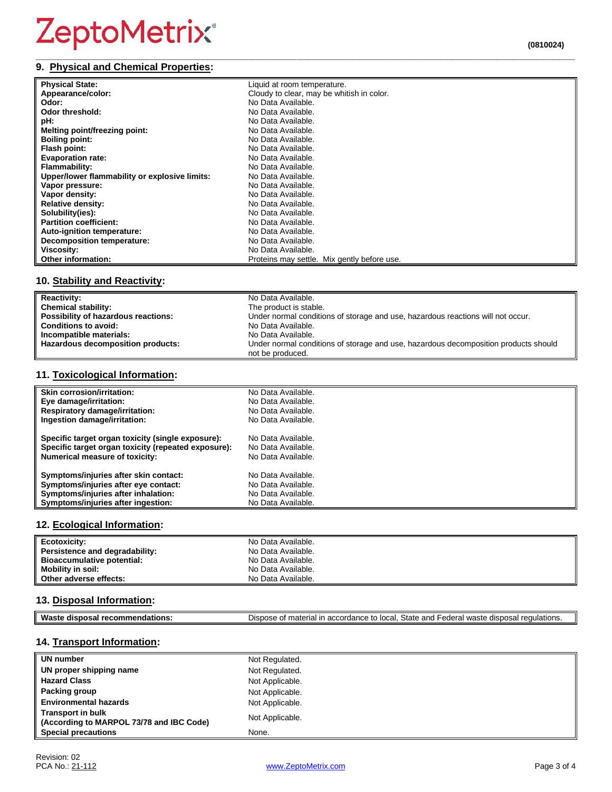#### **\_\_\_\_\_\_\_\_\_\_\_\_\_\_\_\_\_\_\_\_\_\_\_\_\_\_\_\_\_\_\_\_\_\_\_\_\_\_\_\_\_\_\_\_\_\_\_\_\_\_\_\_\_\_\_\_\_\_\_\_\_\_\_\_\_\_\_\_\_\_\_\_\_\_\_\_\_\_\_\_\_\_\_\_\_\_\_\_\_\_\_\_\_\_\_\_\_ 9. Physical and Chemical Properties:**

| <b>Physical State:</b>                        | Liquid at room temperature.                 |
|-----------------------------------------------|---------------------------------------------|
| Appearance/color:                             | Cloudy to clear, may be whitish in color.   |
| Odor:                                         | No Data Available.                          |
| Odor threshold:                               | No Data Available.                          |
| pH:                                           | No Data Available.                          |
| Melting point/freezing point:                 | No Data Available.                          |
| <b>Boiling point:</b>                         | No Data Available.                          |
| Flash point:                                  | No Data Available.                          |
| <b>Evaporation rate:</b>                      | No Data Available.                          |
| Flammability:                                 | No Data Available.                          |
| Upper/lower flammability or explosive limits: | No Data Available.                          |
| Vapor pressure:                               | No Data Available.                          |
| Vapor density:                                | No Data Available.                          |
| <b>Relative density:</b>                      | No Data Available.                          |
| Solubility(ies):                              | No Data Available.                          |
| <b>Partition coefficient:</b>                 | No Data Available.                          |
| Auto-ignition temperature:                    | No Data Available.                          |
| <b>Decomposition temperature:</b>             | No Data Available.                          |
| Viscosity:                                    | No Data Available.                          |
| <b>Other information:</b>                     | Proteins may settle. Mix gently before use. |

## **10. Stability and Reactivity:**

| <b>Reactivity:</b>                  | No Data Available.                                                                  |
|-------------------------------------|-------------------------------------------------------------------------------------|
| <b>Chemical stability:</b>          | The product is stable.                                                              |
| Possibility of hazardous reactions: | Under normal conditions of storage and use, hazardous reactions will not occur.     |
| <b>Conditions to avoid:</b>         | No Data Available.                                                                  |
| Incompatible materials:             | No Data Available.                                                                  |
| Hazardous decomposition products:   | Under normal conditions of storage and use, hazardous decomposition products should |
|                                     | not be produced.                                                                    |

## **11. Toxicological Information:**

| Skin corrosion/irritation:                          | No Data Available. |
|-----------------------------------------------------|--------------------|
| Eye damage/irritation:                              | No Data Available. |
| <b>Respiratory damage/irritation:</b>               | No Data Available. |
| Ingestion damage/irritation:                        | No Data Available. |
| Specific target organ toxicity (single exposure):   | No Data Available. |
| Specific target organ toxicity (repeated exposure): | No Data Available. |
| <b>Numerical measure of toxicity:</b>               | No Data Available. |
| Symptoms/injuries after skin contact:               | No Data Available. |
| Symptoms/injuries after eye contact:                | No Data Available. |
| Symptoms/injuries after inhalation:                 | No Data Available. |
| Symptoms/injuries after ingestion:                  | No Data Available. |

## **12. Ecological Information:**

| Ecotoxicity:                   | No Data Available. |
|--------------------------------|--------------------|
| Persistence and degradability: | No Data Available. |
| Bioaccumulative potential:     | No Data Available. |
| <b>Mobility in soil:</b>       | No Data Available. |
| Other adverse effects:         | No Data Available. |

## **13. Disposal Information:**

| <b>Was</b><br>--<br>- - | $C+$<br>កកក<br>)ısr<br>י המחי<br>equiations.<br><br>$\sim$ $\sim$<br>nn+,<br><br>והמח<br>$\ddotsc$<br>~<br><br>วเสแ<br>anu<br>ъ.<br>. п. н.<br>. .<br>.<br>og 11<br>י הד<br>$-10-10$<br>v v r<br>$\cdots$ |
|-------------------------|-----------------------------------------------------------------------------------------------------------------------------------------------------------------------------------------------------------|

## **14. Transport Information:**

| UN number                                                            | Not Regulated.  |
|----------------------------------------------------------------------|-----------------|
| UN proper shipping name                                              | Not Regulated.  |
| <b>Hazard Class</b>                                                  | Not Applicable. |
| Packing group                                                        | Not Applicable. |
| <b>Environmental hazards</b>                                         | Not Applicable. |
| <b>Transport in bulk</b><br>(According to MARPOL 73/78 and IBC Code) | Not Applicable. |
| <b>Special precautions</b>                                           | None.           |